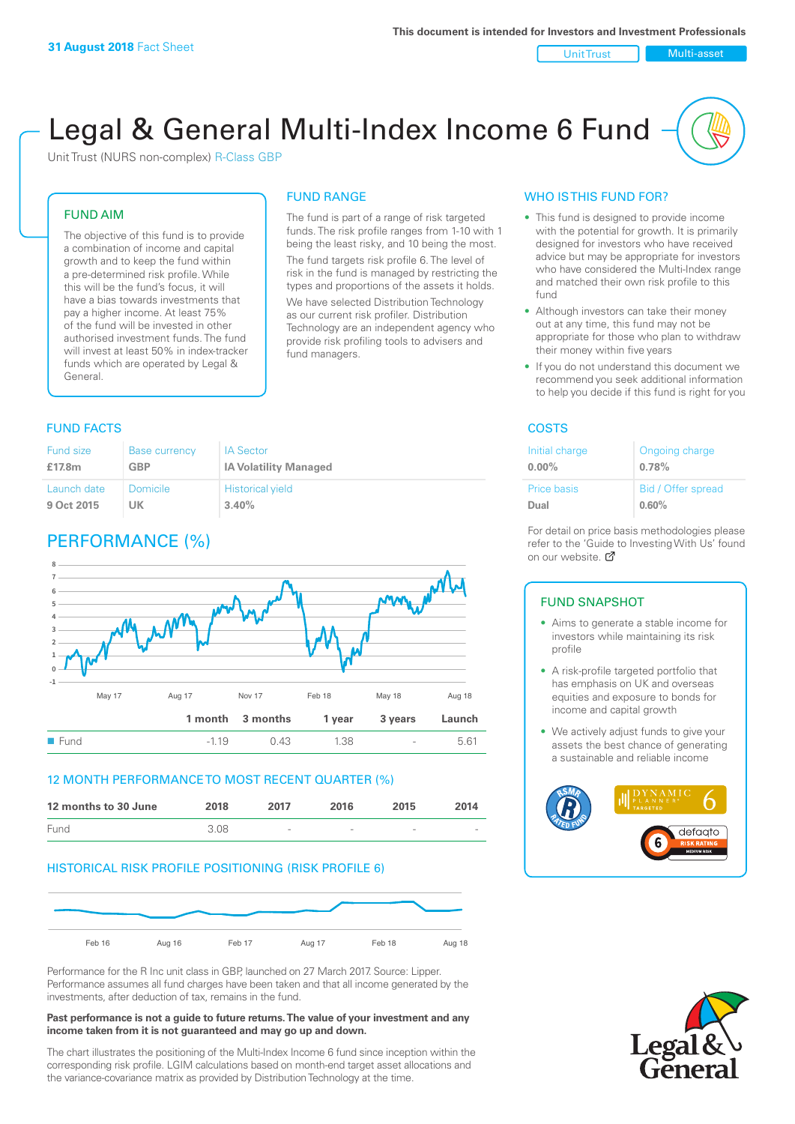Unit Trust Nulti-asset

# Legal & General Multi-Index Income 6 Fund

Unit Trust (NURS non-complex) R-Class GBP

#### FUND AIM

The objective of this fund is to provide a combination of income and capital growth and to keep the fund within a pre-determined risk profile. While this will be the fund's focus, it will have a bias towards investments that pay a higher income. At least 75% of the fund will be invested in other authorised investment funds. The fund will invest at least 50% in index-tracker funds which are operated by Legal & General.

## FUND RANGE

The fund is part of a range of risk targeted funds. The risk profile ranges from 1-10 with 1 being the least risky, and 10 being the most. The fund targets risk profile 6. The level of risk in the fund is managed by restricting the

types and proportions of the assets it holds. We have selected Distribution Technology as our current risk profiler. Distribution Technology are an independent agency who provide risk profiling tools to advisers and fund managers.

#### **FUND FACTS** COSTS

| Fund size   | <b>Base currency</b> | <b>IA Sector</b>             |
|-------------|----------------------|------------------------------|
| £17.8m      | GBP                  | <b>IA Volatility Managed</b> |
| Launch date | Domicile             | <b>Historical yield</b>      |
| 9 Oct 2015  | UK                   | 3.40%                        |

### PERFORMANCE (%)



#### 12 MONTH PERFORMANCE TO MOST RECENT QUARTER (%)



#### HISTORICAL RISK PROFILE POSITIONING (RISK PROFILE 6)



Performance for the R Inc unit class in GBP, launched on 27 March 2017. Source: Lipper. Performance assumes all fund charges have been taken and that all income generated by the investments, after deduction of tax, remains in the fund.

#### **Past performance is not a guide to future returns. The value of your investment and any income taken from it is not guaranteed and may go up and down.**

The chart illustrates the positioning of the Multi-Index Income 6 fund since inception within the corresponding risk profile. LGIM calculations based on month-end target asset allocations and the variance-covariance matrix as provided by Distribution Technology at the time.

#### WHO IS THIS FUND FOR?

- This fund is designed to provide income with the potential for growth. It is primarily designed for investors who have received advice but may be appropriate for investors who have considered the Multi-Index range and matched their own risk profile to this fund
- Although investors can take their money out at any time, this fund may not be appropriate for those who plan to withdraw their money within five years
- If you do not understand this document we recommend you seek additional information to help you decide if this fund is right for you

| Initial charge | Ongoing charge     |
|----------------|--------------------|
| $0.00\%$       | 0.78%              |
| Price basis    | Bid / Offer spread |
| Dual           | 0.60%              |

For detail on price basis methodologies please refer to the 'Gu[ide t](http://www.legalandgeneral.com/guide)o Investing With Us' found on our website. Ø

#### FUND SNAPSHOT

- Aims to generate a stable income for investors while maintaining its risk profile
- A risk-profile targeted portfolio that has emphasis on UK and overseas equities and exposure to bonds for income and capital growth
- We actively adjust funds to give your assets the best chance of generating a sustainable and reliable income



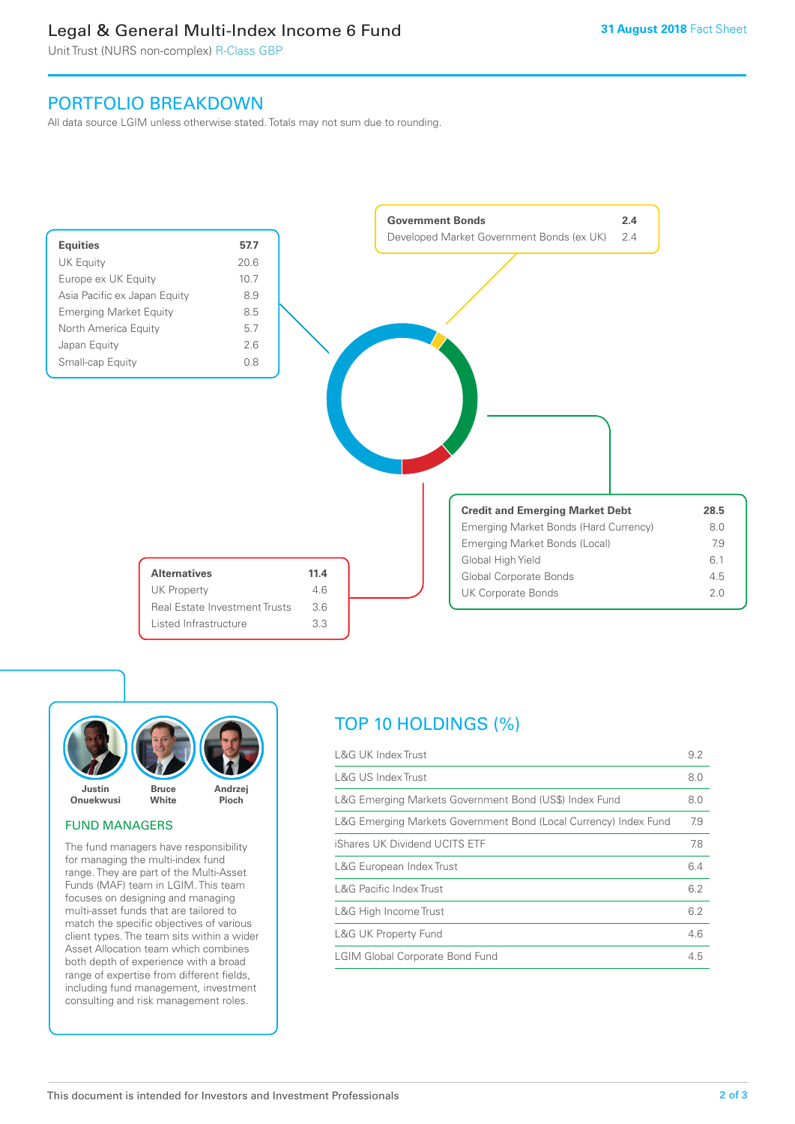### Legal & General Multi-Index Income 6 Fund

Unit Trust (NURS non-complex) R-Class GBP

### PORTFOLIO BREAKDOWN

All data source LGIM unless otherwise stated. Totals may not sum due to rounding.





#### FUND MANAGERS

The fund managers have responsibility for managing the multi-index fund range. They are part of the Multi-Asset Funds (MAF) team in LGIM. This team focuses on designing and managing multi-asset funds that are tailored to match the specific objectives of various client types. The team sits within a wider Asset Allocation team which combines both depth of experience with a broad range of expertise from different fields, including fund management, investment consulting and risk management roles.

### TOP 10 HOLDINGS (%)

| <b>L&amp;G UK Index Trust</b>                                    | 9.2 |
|------------------------------------------------------------------|-----|
| <b>L&amp;G US Index Trust</b>                                    | 8.0 |
| L&G Emerging Markets Government Bond (US\$) Index Fund           | 8.0 |
| L&G Emerging Markets Government Bond (Local Currency) Index Fund | 7.9 |
| iShares UK Dividend UCITS ETF                                    | 7.8 |
| L&G European Index Trust                                         | 6.4 |
| <b>L&amp;G Pacific Index Trust</b>                               | 6.2 |
| L&G High Income Trust                                            | 6.2 |
| L&G UK Property Fund                                             | 4.6 |
| <b>LGIM Global Corporate Bond Fund</b>                           | 4.5 |